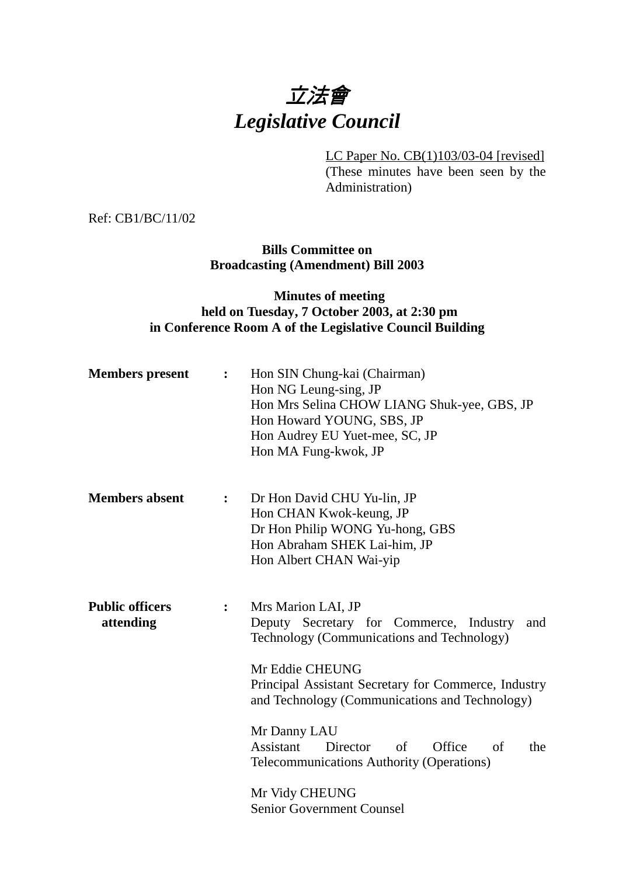

LC Paper No. CB(1)103/03-04 [revised] (These minutes have been seen by the Administration)

Ref: CB1/BC/11/02

#### **Bills Committee on Broadcasting (Amendment) Bill 2003**

### **Minutes of meeting held on Tuesday, 7 October 2003, at 2:30 pm in Conference Room A of the Legislative Council Building**

| <b>Members</b> present              | $\ddot{\cdot}$     | Hon SIN Chung-kai (Chairman)<br>Hon NG Leung-sing, JP<br>Hon Mrs Selina CHOW LIANG Shuk-yee, GBS, JP<br>Hon Howard YOUNG, SBS, JP<br>Hon Audrey EU Yuet-mee, SC, JP<br>Hon MA Fung-kwok, JP                                                                                                                                                                                          |
|-------------------------------------|--------------------|--------------------------------------------------------------------------------------------------------------------------------------------------------------------------------------------------------------------------------------------------------------------------------------------------------------------------------------------------------------------------------------|
| <b>Members absent</b>               | : $\hfill \bullet$ | Dr Hon David CHU Yu-lin, JP<br>Hon CHAN Kwok-keung, JP<br>Dr Hon Philip WONG Yu-hong, GBS<br>Hon Abraham SHEK Lai-him, JP<br>Hon Albert CHAN Wai-yip                                                                                                                                                                                                                                 |
| <b>Public officers</b><br>attending | $\ddot{\bullet}$   | Mrs Marion LAI, JP<br>Deputy Secretary for Commerce, Industry<br>and<br>Technology (Communications and Technology)<br>Mr Eddie CHEUNG<br>Principal Assistant Secretary for Commerce, Industry<br>and Technology (Communications and Technology)<br>Mr Danny LAU<br>Assistant<br>Office<br>Director<br>of<br>the<br>of<br>Telecommunications Authority (Operations)<br>Mr Vidy CHEUNG |
|                                     |                    | <b>Senior Government Counsel</b>                                                                                                                                                                                                                                                                                                                                                     |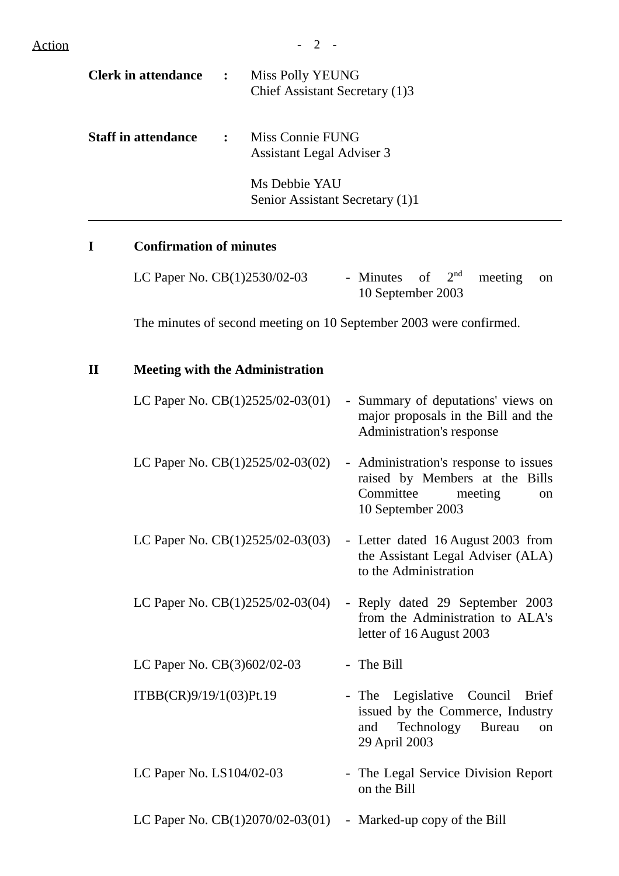| <b>Clerk in attendance</b> | $\ddot{\cdot}$ | Miss Polly YEUNG<br>Chief Assistant Secretary (1)3   |
|----------------------------|----------------|------------------------------------------------------|
| <b>Staff in attendance</b> | $\mathbf{r}$   | Miss Connie FUNG<br><b>Assistant Legal Adviser 3</b> |
|                            |                | Ms Debbie YAU<br>Senior Assistant Secretary (1)1     |

# **I Confirmation of minutes**

| LC Paper No. $CB(1)2530/02-03$ | - Minutes of $2^{nd}$ meeting on |  |  |
|--------------------------------|----------------------------------|--|--|
|                                | 10 September 2003                |  |  |

The minutes of second meeting on 10 September 2003 were confirmed.

## **II Meeting with the Administration**

| LC Paper No. CB(1)2525/02-03(01)   | - Summary of deputations' views on<br>major proposals in the Bill and the<br>Administration's response                           |
|------------------------------------|----------------------------------------------------------------------------------------------------------------------------------|
| LC Paper No. $CB(1)2525/02-03(02)$ | - Administration's response to issues<br>raised by Members at the Bills<br>Committee<br>meeting<br>on<br>10 September 2003       |
| LC Paper No. $CB(1)2525/02-03(03)$ | - Letter dated 16 August 2003 from<br>the Assistant Legal Adviser (ALA)<br>to the Administration                                 |
| LC Paper No. CB(1)2525/02-03(04)   | - Reply dated 29 September 2003<br>from the Administration to ALA's<br>letter of 16 August 2003                                  |
| LC Paper No. CB(3)602/02-03        | - The Bill                                                                                                                       |
| ITBB(CR)9/19/1(03)Pt.19            | - The Legislative Council Brief<br>issued by the Commerce, Industry<br>Technology<br><b>Bureau</b><br>and<br>on<br>29 April 2003 |
| LC Paper No. LS104/02-03           | - The Legal Service Division Report<br>on the Bill                                                                               |
| LC Paper No. $CB(1)2070/02-03(01)$ | - Marked-up copy of the Bill                                                                                                     |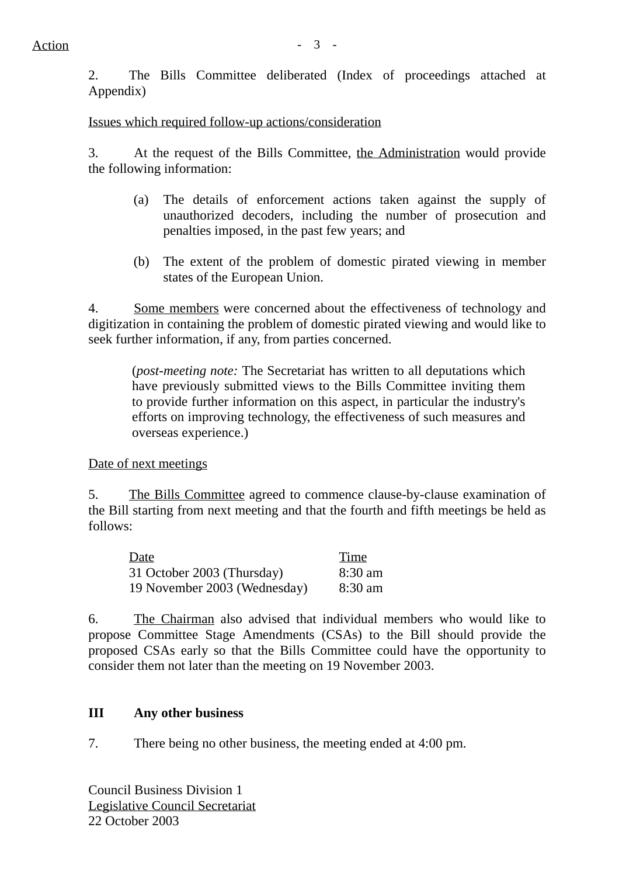2. The Bills Committee deliberated (Index of proceedings attached at Appendix)

Issues which required follow-up actions/consideration

3. At the request of the Bills Committee, the Administration would provide the following information:

- (a) The details of enforcement actions taken against the supply of unauthorized decoders, including the number of prosecution and penalties imposed, in the past few years; and
- (b) The extent of the problem of domestic pirated viewing in member states of the European Union.

4. Some members were concerned about the effectiveness of technology and digitization in containing the problem of domestic pirated viewing and would like to seek further information, if any, from parties concerned.

(*post-meeting note:* The Secretariat has written to all deputations which have previously submitted views to the Bills Committee inviting them to provide further information on this aspect, in particular the industry's efforts on improving technology, the effectiveness of such measures and overseas experience.)

Date of next meetings

5. The Bills Committee agreed to commence clause-by-clause examination of the Bill starting from next meeting and that the fourth and fifth meetings be held as follows:

| Date                         | Time      |
|------------------------------|-----------|
| 31 October 2003 (Thursday)   | $8:30$ am |
| 19 November 2003 (Wednesday) | $8:30$ am |

6. The Chairman also advised that individual members who would like to propose Committee Stage Amendments (CSAs) to the Bill should provide the proposed CSAs early so that the Bills Committee could have the opportunity to consider them not later than the meeting on 19 November 2003.

### **III Any other business**

7. There being no other business, the meeting ended at 4:00 pm.

Council Business Division 1 Legislative Council Secretariat 22 October 2003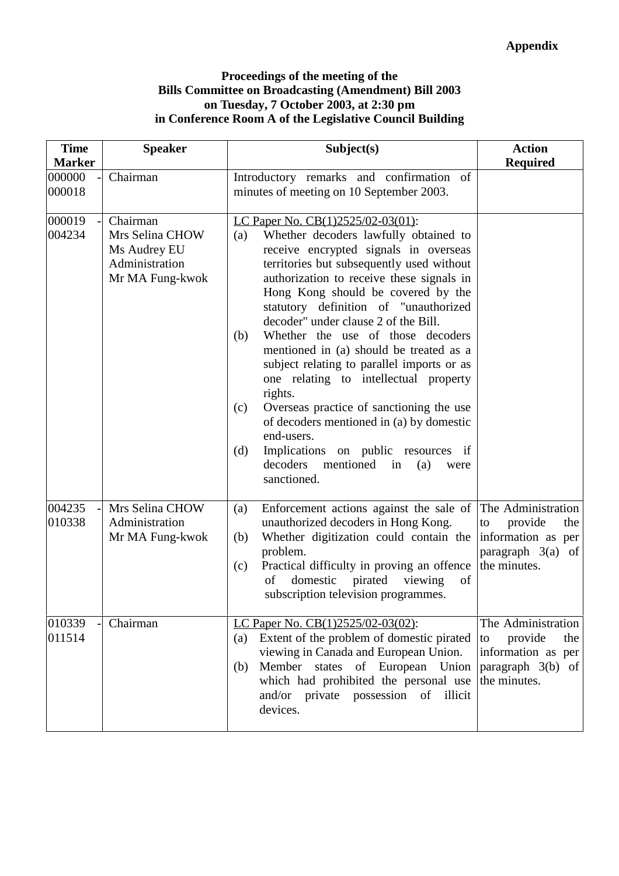#### **Proceedings of the meeting of the Bills Committee on Broadcasting (Amendment) Bill 2003 on Tuesday, 7 October 2003, at 2:30 pm in Conference Room A of the Legislative Council Building**

| <b>Time</b>                       | <b>Speaker</b>                                                                   | Subject(s)                                                                                                                                                                                                                                                                                                                                                                                                                                                                                                                                                                                                                                                                                                                                                   | <b>Action</b>                                                                                           |
|-----------------------------------|----------------------------------------------------------------------------------|--------------------------------------------------------------------------------------------------------------------------------------------------------------------------------------------------------------------------------------------------------------------------------------------------------------------------------------------------------------------------------------------------------------------------------------------------------------------------------------------------------------------------------------------------------------------------------------------------------------------------------------------------------------------------------------------------------------------------------------------------------------|---------------------------------------------------------------------------------------------------------|
| <b>Marker</b><br>000000<br>000018 | Chairman                                                                         | Introductory remarks and confirmation of<br>minutes of meeting on 10 September 2003.                                                                                                                                                                                                                                                                                                                                                                                                                                                                                                                                                                                                                                                                         | <b>Required</b>                                                                                         |
| 000019<br>004234                  | Chairman<br>Mrs Selina CHOW<br>Ms Audrey EU<br>Administration<br>Mr MA Fung-kwok | LC Paper No. CB(1)2525/02-03(01):<br>Whether decoders lawfully obtained to<br>(a)<br>receive encrypted signals in overseas<br>territories but subsequently used without<br>authorization to receive these signals in<br>Hong Kong should be covered by the<br>statutory definition of "unauthorized<br>decoder" under clause 2 of the Bill.<br>Whether the use of those decoders<br>(b)<br>mentioned in (a) should be treated as a<br>subject relating to parallel imports or as<br>one relating to intellectual property<br>rights.<br>Overseas practice of sanctioning the use<br>(c)<br>of decoders mentioned in (a) by domestic<br>end-users.<br>Implications on public resources if<br>(d)<br>decoders<br>mentioned<br>(a)<br>in<br>were<br>sanctioned. |                                                                                                         |
| 004235<br>010338                  | Mrs Selina CHOW<br>Administration<br>Mr MA Fung-kwok                             | Enforcement actions against the sale of<br>(a)<br>unauthorized decoders in Hong Kong.<br>Whether digitization could contain the<br>(b)<br>problem.<br>Practical difficulty in proving an offence<br>(c)<br>domestic<br>pirated<br>of<br>of<br>viewing<br>subscription television programmes.                                                                                                                                                                                                                                                                                                                                                                                                                                                                 | The Administration<br>provide<br>the<br>to<br>information as per<br>paragraph $3(a)$ of<br>the minutes. |
| 010339<br>011514                  | Chairman                                                                         | LC Paper No. CB(1)2525/02-03(02):<br>Extent of the problem of domestic pirated<br>(a)<br>viewing in Canada and European Union.<br>Member states of European Union<br>(b)<br>which had prohibited the personal use<br>and/or private possession of<br>illicit<br>devices.                                                                                                                                                                                                                                                                                                                                                                                                                                                                                     | The Administration<br>provide<br>the<br>to<br>information as per<br>paragraph $3(b)$ of<br>the minutes. |